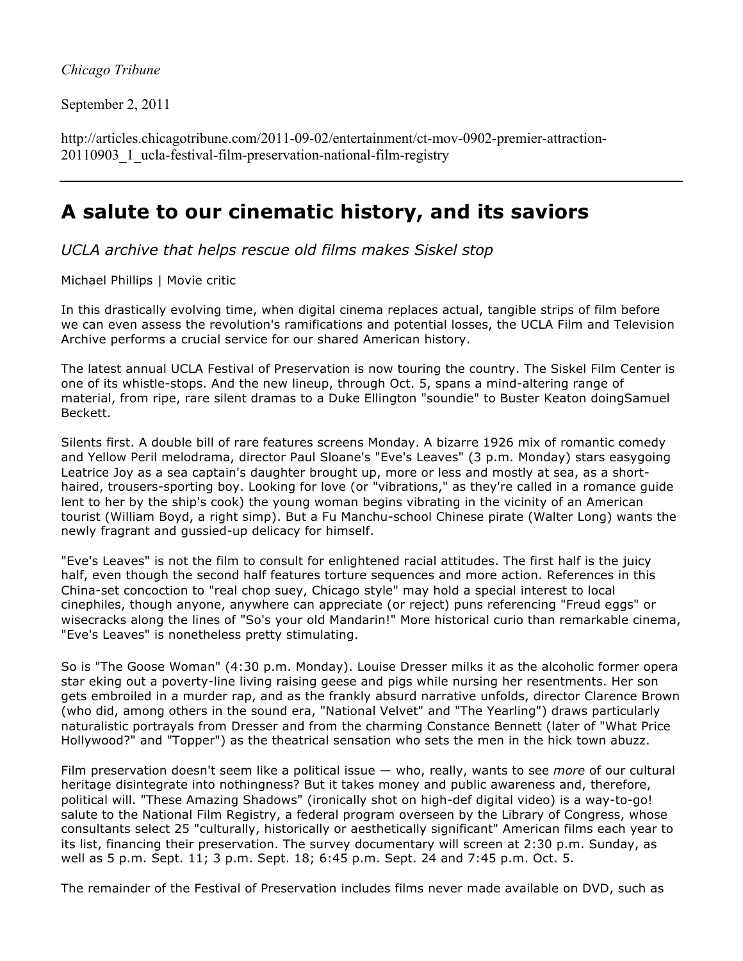## *Chicago Tribune*

September 2, 2011

http://articles.chicagotribune.com/2011-09-02/entertainment/ct-mov-0902-premier-attraction-20110903 1 ucla-festival-film-preservation-national-film-registry

## **A salute to our cinematic history, and its saviors**

*UCLA archive that helps rescue old films makes Siskel stop* 

Michael Phillips | Movie critic

In this drastically evolving time, when digital cinema replaces actual, tangible strips of film before we can even assess the revolution's ramifications and potential losses, the UCLA Film and Television Archive performs a crucial service for our shared American history.

The latest annual UCLA Festival of Preservation is now touring the country. The Siskel Film Center is one of its whistle-stops. And the new lineup, through Oct. 5, spans a mind-altering range of material, from ripe, rare silent dramas to a Duke Ellington "soundie" to Buster Keaton doingSamuel Beckett.

Silents first. A double bill of rare features screens Monday. A bizarre 1926 mix of romantic comedy and Yellow Peril melodrama, director Paul Sloane's "Eve's Leaves" (3 p.m. Monday) stars easygoing Leatrice Joy as a sea captain's daughter brought up, more or less and mostly at sea, as a shorthaired, trousers-sporting boy. Looking for love (or "vibrations," as they're called in a romance guide lent to her by the ship's cook) the young woman begins vibrating in the vicinity of an American tourist (William Boyd, a right simp). But a Fu Manchu-school Chinese pirate (Walter Long) wants the newly fragrant and gussied-up delicacy for himself.

"Eve's Leaves" is not the film to consult for enlightened racial attitudes. The first half is the juicy half, even though the second half features torture sequences and more action. References in this China-set concoction to "real chop suey, Chicago style" may hold a special interest to local cinephiles, though anyone, anywhere can appreciate (or reject) puns referencing "Freud eggs" or wisecracks along the lines of "So's your old Mandarin!" More historical curio than remarkable cinema, "Eve's Leaves" is nonetheless pretty stimulating.

So is "The Goose Woman" (4:30 p.m. Monday). Louise Dresser milks it as the alcoholic former opera star eking out a poverty-line living raising geese and pigs while nursing her resentments. Her son gets embroiled in a murder rap, and as the frankly absurd narrative unfolds, director Clarence Brown (who did, among others in the sound era, "National Velvet" and "The Yearling") draws particularly naturalistic portrayals from Dresser and from the charming Constance Bennett (later of "What Price Hollywood?" and "Topper") as the theatrical sensation who sets the men in the hick town abuzz.

Film preservation doesn't seem like a political issue — who, really, wants to see *more* of our cultural heritage disintegrate into nothingness? But it takes money and public awareness and, therefore, political will. "These Amazing Shadows" (ironically shot on high-def digital video) is a way-to-go! salute to the National Film Registry, a federal program overseen by the Library of Congress, whose consultants select 25 "culturally, historically or aesthetically significant" American films each year to its list, financing their preservation. The survey documentary will screen at 2:30 p.m. Sunday, as well as 5 p.m. Sept. 11; 3 p.m. Sept. 18; 6:45 p.m. Sept. 24 and 7:45 p.m. Oct. 5.

The remainder of the Festival of Preservation includes films never made available on DVD, such as